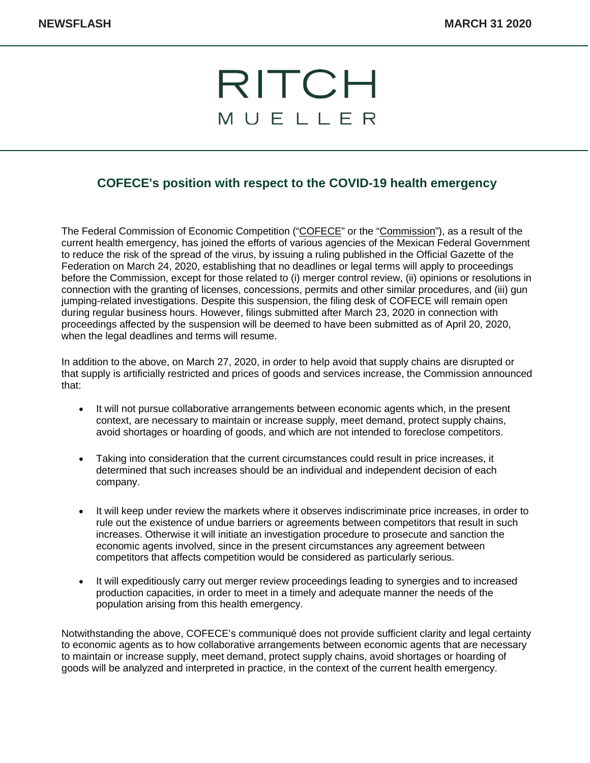## RITCH MUELLER

## **COFECE's position with respect to the COVID-19 health emergency**

The Federal Commission of Economic Competition ("COFECE" or the "Commission"), as a result of the current health emergency, has joined the efforts of various agencies of the Mexican Federal Government to reduce the risk of the spread of the virus, by issuing a ruling published in the Official Gazette of the Federation on March 24, 2020, establishing that no deadlines or legal terms will apply to proceedings before the Commission, except for those related to (i) merger control review, (ii) opinions or resolutions in connection with the granting of licenses, concessions, permits and other similar procedures, and (iii) gun jumping-related investigations. Despite this suspension, the filing desk of COFECE will remain open during regular business hours. However, filings submitted after March 23, 2020 in connection with proceedings affected by the suspension will be deemed to have been submitted as of April 20, 2020, when the legal deadlines and terms will resume.

In addition to the above, on March 27, 2020, in order to help avoid that supply chains are disrupted or that supply is artificially restricted and prices of goods and services increase, the Commission announced that:

- It will not pursue collaborative arrangements between economic agents which, in the present context, are necessary to maintain or increase supply, meet demand, protect supply chains, avoid shortages or hoarding of goods, and which are not intended to foreclose competitors.
- Taking into consideration that the current circumstances could result in price increases, it determined that such increases should be an individual and independent decision of each company.
- It will keep under review the markets where it observes indiscriminate price increases, in order to rule out the existence of undue barriers or agreements between competitors that result in such increases. Otherwise it will initiate an investigation procedure to prosecute and sanction the economic agents involved, since in the present circumstances any agreement between competitors that affects competition would be considered as particularly serious.
- It will expeditiously carry out merger review proceedings leading to synergies and to increased production capacities, in order to meet in a timely and adequate manner the needs of the population arising from this health emergency.

Notwithstanding the above, COFECE's communiqué does not provide sufficient clarity and legal certainty to economic agents as to how collaborative arrangements between economic agents that are necessary to maintain or increase supply, meet demand, protect supply chains, avoid shortages or hoarding of goods will be analyzed and interpreted in practice, in the context of the current health emergency.